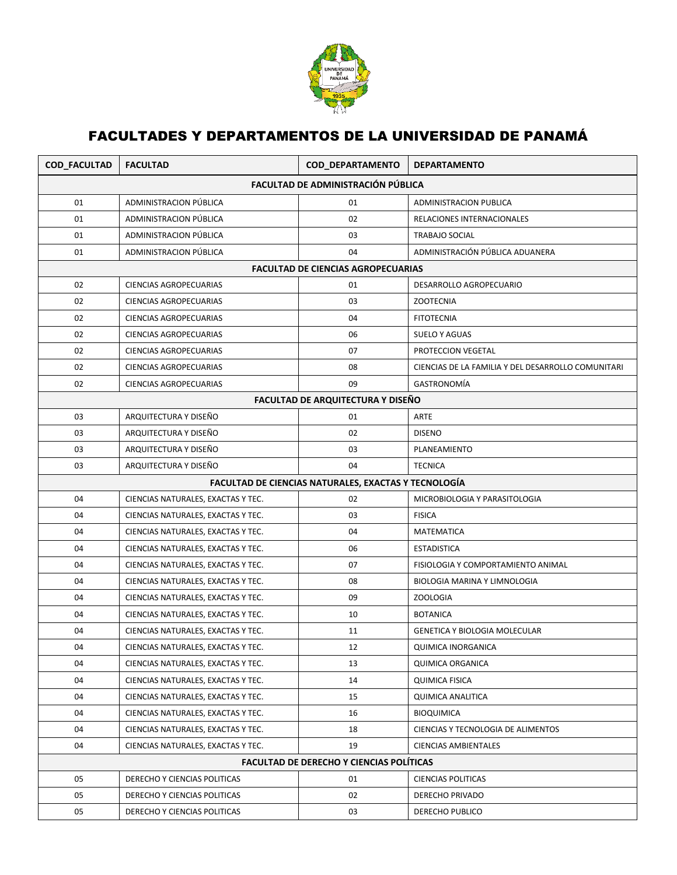

## FACULTADES Y DEPARTAMENTOS DE LA UNIVERSIDAD DE PANAMÁ

| COD_FACULTAD                                    | <b>FACULTAD</b>                    | COD_DEPARTAMENTO                                     | <b>DEPARTAMENTO</b>                                |  |  |  |
|-------------------------------------------------|------------------------------------|------------------------------------------------------|----------------------------------------------------|--|--|--|
| FACULTAD DE ADMINISTRACIÓN PÚBLICA              |                                    |                                                      |                                                    |  |  |  |
| 01                                              | ADMINISTRACION PÚBLICA             | 01                                                   | ADMINISTRACION PUBLICA                             |  |  |  |
| 01                                              | ADMINISTRACION PÚBLICA             | 02                                                   | RELACIONES INTERNACIONALES                         |  |  |  |
| 01                                              | ADMINISTRACION PÚBLICA             | 03                                                   | <b>TRABAJO SOCIAL</b>                              |  |  |  |
| 01                                              | ADMINISTRACION PÚBLICA             | 04                                                   | ADMINISTRACIÓN PÚBLICA ADUANERA                    |  |  |  |
|                                                 |                                    | <b>FACULTAD DE CIENCIAS AGROPECUARIAS</b>            |                                                    |  |  |  |
| 02                                              | <b>CIENCIAS AGROPECUARIAS</b>      | 01                                                   | DESARROLLO AGROPECUARIO                            |  |  |  |
| 02                                              | <b>CIENCIAS AGROPECUARIAS</b>      | 03                                                   | <b>ZOOTECNIA</b>                                   |  |  |  |
| 02                                              | CIENCIAS AGROPECUARIAS             | 04                                                   | <b>FITOTECNIA</b>                                  |  |  |  |
| 02                                              | CIENCIAS AGROPECUARIAS             | 06                                                   | <b>SUELO Y AGUAS</b>                               |  |  |  |
| 02                                              | CIENCIAS AGROPECUARIAS             | 07                                                   | PROTECCION VEGETAL                                 |  |  |  |
| 02                                              | <b>CIENCIAS AGROPECUARIAS</b>      | 08                                                   | CIENCIAS DE LA FAMILIA Y DEL DESARROLLO COMUNITARI |  |  |  |
| 02                                              | <b>CIENCIAS AGROPECUARIAS</b>      | 09                                                   | GASTRONOMÍA                                        |  |  |  |
|                                                 |                                    | <b>FACULTAD DE ARQUITECTURA Y DISEÑO</b>             |                                                    |  |  |  |
| 03                                              | ARQUITECTURA Y DISEÑO              | 01                                                   | <b>ARTE</b>                                        |  |  |  |
| 03                                              | ARQUITECTURA Y DISEÑO              | 02                                                   | <b>DISENO</b>                                      |  |  |  |
| 03                                              | ARQUITECTURA Y DISEÑO              | 03                                                   | PLANEAMIENTO                                       |  |  |  |
| 03                                              | ARQUITECTURA Y DISEÑO              | 04                                                   | <b>TECNICA</b>                                     |  |  |  |
|                                                 |                                    | FACULTAD DE CIENCIAS NATURALES, EXACTAS Y TECNOLOGÍA |                                                    |  |  |  |
| 04                                              | CIENCIAS NATURALES, EXACTAS Y TEC. | 02                                                   | MICROBIOLOGIA Y PARASITOLOGIA                      |  |  |  |
| 04                                              | CIENCIAS NATURALES, EXACTAS Y TEC. | 03                                                   | <b>FISICA</b>                                      |  |  |  |
| 04                                              | CIENCIAS NATURALES, EXACTAS Y TEC. | 04                                                   | <b>MATEMATICA</b>                                  |  |  |  |
| 04                                              | CIENCIAS NATURALES, EXACTAS Y TEC. | 06                                                   | <b>ESTADISTICA</b>                                 |  |  |  |
| 04                                              | CIENCIAS NATURALES, EXACTAS Y TEC. | 07                                                   | FISIOLOGIA Y COMPORTAMIENTO ANIMAL                 |  |  |  |
| 04                                              | CIENCIAS NATURALES, EXACTAS Y TEC. | 08                                                   | BIOLOGIA MARINA Y LIMNOLOGIA                       |  |  |  |
| 04                                              | CIENCIAS NATURALES, EXACTAS Y TEC. | 09                                                   | <b>ZOOLOGIA</b>                                    |  |  |  |
| 04                                              | CIENCIAS NATURALES, EXACTAS Y TEC. | 10                                                   | <b>BOTANICA</b>                                    |  |  |  |
| 04                                              | CIENCIAS NATURALES, EXACTAS Y TEC. | 11                                                   | <b>GENETICA Y BIOLOGIA MOLECULAR</b>               |  |  |  |
| 04                                              | CIENCIAS NATURALES, EXACTAS Y TEC. | 12                                                   | QUIMICA INORGANICA                                 |  |  |  |
| 04                                              | CIENCIAS NATURALES, EXACTAS Y TEC. | 13                                                   | <b>QUIMICA ORGANICA</b>                            |  |  |  |
| 04                                              | CIENCIAS NATURALES, EXACTAS Y TEC. | 14                                                   | <b>QUIMICA FISICA</b>                              |  |  |  |
| 04                                              | CIENCIAS NATURALES, EXACTAS Y TEC. | 15                                                   | <b>QUIMICA ANALITICA</b>                           |  |  |  |
| 04                                              | CIENCIAS NATURALES, EXACTAS Y TEC. | 16                                                   | <b>BIOQUIMICA</b>                                  |  |  |  |
| 04                                              | CIENCIAS NATURALES, EXACTAS Y TEC. | 18                                                   | CIENCIAS Y TECNOLOGIA DE ALIMENTOS                 |  |  |  |
| 04                                              | CIENCIAS NATURALES, EXACTAS Y TEC. | 19                                                   | CIENCIAS AMBIENTALES                               |  |  |  |
| <b>FACULTAD DE DERECHO Y CIENCIAS POLÍTICAS</b> |                                    |                                                      |                                                    |  |  |  |
| 05                                              | DERECHO Y CIENCIAS POLITICAS       | 01                                                   | <b>CIENCIAS POLITICAS</b>                          |  |  |  |
| 05                                              | DERECHO Y CIENCIAS POLITICAS       | 02                                                   | DERECHO PRIVADO                                    |  |  |  |
| 05                                              | DERECHO Y CIENCIAS POLITICAS       | 03                                                   | DERECHO PUBLICO                                    |  |  |  |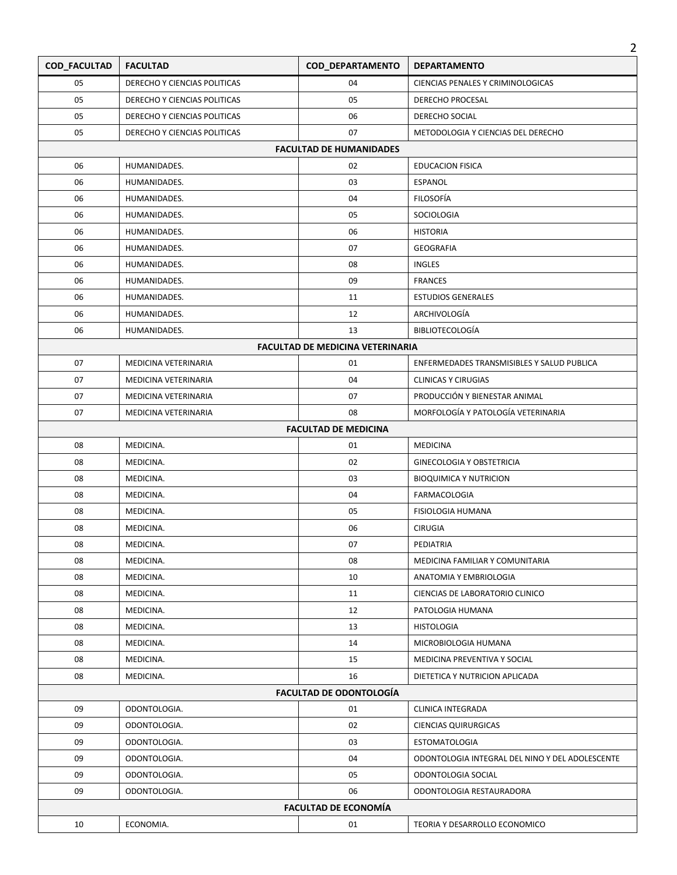| COD_FACULTAD                   | <b>FACULTAD</b>              | COD_DEPARTAMENTO                        | <b>DEPARTAMENTO</b>                             |  |  |
|--------------------------------|------------------------------|-----------------------------------------|-------------------------------------------------|--|--|
| 05                             | DERECHO Y CIENCIAS POLITICAS | 04                                      | CIENCIAS PENALES Y CRIMINOLOGICAS               |  |  |
| 05                             | DERECHO Y CIENCIAS POLITICAS | 05                                      | DERECHO PROCESAL                                |  |  |
| 05                             | DERECHO Y CIENCIAS POLITICAS | 06                                      | DERECHO SOCIAL                                  |  |  |
| 05                             | DERECHO Y CIENCIAS POLITICAS | 07                                      | METODOLOGIA Y CIENCIAS DEL DERECHO              |  |  |
|                                |                              | <b>FACULTAD DE HUMANIDADES</b>          |                                                 |  |  |
| 06                             | HUMANIDADES.                 | 02                                      | <b>EDUCACION FISICA</b>                         |  |  |
| 06                             | HUMANIDADES.                 | 03                                      | <b>ESPANOL</b>                                  |  |  |
| 06                             | HUMANIDADES.                 | 04                                      | FILOSOFÍA                                       |  |  |
| 06                             | HUMANIDADES.                 | 05                                      | SOCIOLOGIA                                      |  |  |
| 06                             | HUMANIDADES.                 | 06                                      | <b>HISTORIA</b>                                 |  |  |
| 06                             | HUMANIDADES.                 | 07                                      | <b>GEOGRAFIA</b>                                |  |  |
| 06                             | HUMANIDADES.                 | 08                                      | <b>INGLES</b>                                   |  |  |
| 06                             | HUMANIDADES.                 | 09                                      | <b>FRANCES</b>                                  |  |  |
| 06                             | HUMANIDADES.                 | 11                                      | <b>ESTUDIOS GENERALES</b>                       |  |  |
| 06                             | HUMANIDADES.                 | 12                                      | ARCHIVOLOGÍA                                    |  |  |
| 06                             | HUMANIDADES.                 | 13                                      | <b>BIBLIOTECOLOGÍA</b>                          |  |  |
|                                |                              | <b>FACULTAD DE MEDICINA VETERINARIA</b> |                                                 |  |  |
| 07                             | MEDICINA VETERINARIA         | 01                                      | ENFERMEDADES TRANSMISIBLES Y SALUD PUBLICA      |  |  |
| 07                             | MEDICINA VETERINARIA         | 04                                      | <b>CLINICAS Y CIRUGIAS</b>                      |  |  |
| 07                             | MEDICINA VETERINARIA         | 07                                      | PRODUCCIÓN Y BIENESTAR ANIMAL                   |  |  |
| 07                             | MEDICINA VETERINARIA         | 08                                      | MORFOLOGÍA Y PATOLOGÍA VETERINARIA              |  |  |
|                                |                              | <b>FACULTAD DE MEDICINA</b>             |                                                 |  |  |
| 08                             | MEDICINA.                    | 01                                      | <b>MEDICINA</b>                                 |  |  |
| 08                             | MEDICINA.                    | 02                                      | <b>GINECOLOGIA Y OBSTETRICIA</b>                |  |  |
| 08                             | MEDICINA.                    | 03                                      | <b>BIOQUIMICA Y NUTRICION</b>                   |  |  |
| 08                             | MEDICINA.                    | 04                                      | FARMACOLOGIA                                    |  |  |
| 08                             | MEDICINA.                    | 05                                      | <b>FISIOLOGIA HUMANA</b>                        |  |  |
| 08                             | MEDICINA.                    | 06                                      | <b>CIRUGIA</b>                                  |  |  |
| 08                             | MEDICINA.                    | 07                                      | PEDIATRIA                                       |  |  |
| 08                             | MEDICINA.                    | 08                                      | MEDICINA FAMILIAR Y COMUNITARIA                 |  |  |
| 08                             | MEDICINA.                    | 10                                      | ANATOMIA Y EMBRIOLOGIA                          |  |  |
| 08                             | MEDICINA.                    | 11                                      | CIENCIAS DE LABORATORIO CLINICO                 |  |  |
| 08                             | MEDICINA.                    | 12                                      | PATOLOGIA HUMANA                                |  |  |
| 08                             | MEDICINA.                    | 13                                      | <b>HISTOLOGIA</b>                               |  |  |
| 08                             | MEDICINA.                    | 14                                      | MICROBIOLOGIA HUMANA                            |  |  |
| 08                             | MEDICINA.                    | 15                                      | MEDICINA PREVENTIVA Y SOCIAL                    |  |  |
| 08                             | MEDICINA.                    | 16                                      | DIETETICA Y NUTRICION APLICADA                  |  |  |
| <b>FACULTAD DE ODONTOLOGÍA</b> |                              |                                         |                                                 |  |  |
| 09                             | ODONTOLOGIA.                 | 01                                      | CLINICA INTEGRADA                               |  |  |
| 09                             | ODONTOLOGIA.                 | 02                                      | <b>CIENCIAS QUIRURGICAS</b>                     |  |  |
| 09                             | ODONTOLOGIA.                 | 03                                      | <b>ESTOMATOLOGIA</b>                            |  |  |
| 09                             | ODONTOLOGIA.                 | 04                                      | ODONTOLOGIA INTEGRAL DEL NINO Y DEL ADOLESCENTE |  |  |
| 09                             | ODONTOLOGIA.                 | 05                                      | ODONTOLOGIA SOCIAL                              |  |  |
| 09                             | ODONTOLOGIA.                 | 06                                      | ODONTOLOGIA RESTAURADORA                        |  |  |
| <b>FACULTAD DE ECONOMÍA</b>    |                              |                                         |                                                 |  |  |
| 10                             | ECONOMIA.                    | 01                                      | TEORIA Y DESARROLLO ECONOMICO                   |  |  |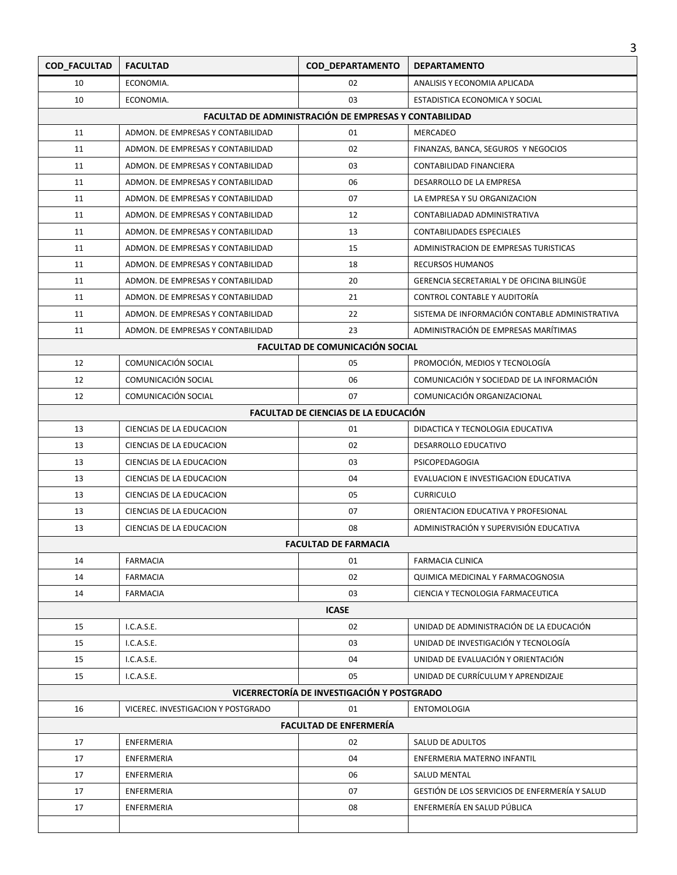| 3                   |                                    |                                                       |                                                   |  |
|---------------------|------------------------------------|-------------------------------------------------------|---------------------------------------------------|--|
| <b>COD_FACULTAD</b> | <b>FACULTAD</b>                    | COD_DEPARTAMENTO                                      | <b>DEPARTAMENTO</b>                               |  |
| 10                  | ECONOMIA.                          | 02                                                    | ANALISIS Y ECONOMIA APLICADA                      |  |
| 10                  | ECONOMIA.                          | 03                                                    | ESTADISTICA ECONOMICA Y SOCIAL                    |  |
|                     |                                    | FACULTAD DE ADMINISTRACIÓN DE EMPRESAS Y CONTABILIDAD |                                                   |  |
| 11                  | ADMON. DE EMPRESAS Y CONTABILIDAD  | 01                                                    | MERCADEO                                          |  |
| 11                  | ADMON. DE EMPRESAS Y CONTABILIDAD  | 02                                                    | FINANZAS, BANCA, SEGUROS Y NEGOCIOS               |  |
| 11                  | ADMON. DE EMPRESAS Y CONTABILIDAD  | 03                                                    | CONTABILIDAD FINANCIERA                           |  |
| 11                  | ADMON. DE EMPRESAS Y CONTABILIDAD  | 06                                                    | DESARROLLO DE LA EMPRESA                          |  |
| 11                  | ADMON. DE EMPRESAS Y CONTABILIDAD  | 07                                                    | LA EMPRESA Y SU ORGANIZACION                      |  |
| 11                  | ADMON. DE EMPRESAS Y CONTABILIDAD  | 12                                                    | CONTABILIADAD ADMINISTRATIVA                      |  |
| 11                  | ADMON. DE EMPRESAS Y CONTABILIDAD  | 13                                                    | <b>CONTABILIDADES ESPECIALES</b>                  |  |
| 11                  | ADMON. DE EMPRESAS Y CONTABILIDAD  | 15                                                    | ADMINISTRACION DE EMPRESAS TURISTICAS             |  |
| 11                  | ADMON. DE EMPRESAS Y CONTABILIDAD  | 18                                                    | <b>RECURSOS HUMANOS</b>                           |  |
| 11                  | ADMON. DE EMPRESAS Y CONTABILIDAD  | 20                                                    | <b>GERENCIA SECRETARIAL Y DE OFICINA BILINGÜE</b> |  |
| 11                  | ADMON. DE EMPRESAS Y CONTABILIDAD  | 21                                                    | CONTROL CONTABLE Y AUDITORÍA                      |  |
| 11                  | ADMON. DE EMPRESAS Y CONTABILIDAD  | 22                                                    | SISTEMA DE INFORMACIÓN CONTABLE ADMINISTRATIVA    |  |
| 11                  | ADMON. DE EMPRESAS Y CONTABILIDAD  | 23                                                    | ADMINISTRACIÓN DE EMPRESAS MARÍTIMAS              |  |
|                     |                                    | FACULTAD DE COMUNICACIÓN SOCIAL                       |                                                   |  |
| 12                  | COMUNICACIÓN SOCIAL                | 05                                                    | PROMOCIÓN, MEDIOS Y TECNOLOGÍA                    |  |
| 12                  | COMUNICACIÓN SOCIAL                | 06                                                    | COMUNICACIÓN Y SOCIEDAD DE LA INFORMACIÓN         |  |
| 12                  | COMUNICACIÓN SOCIAL                | 07                                                    | COMUNICACIÓN ORGANIZACIONAL                       |  |
|                     |                                    | FACULTAD DE CIENCIAS DE LA EDUCACIÓN                  |                                                   |  |
| 13                  | CIENCIAS DE LA EDUCACION           | 01                                                    | DIDACTICA Y TECNOLOGIA EDUCATIVA                  |  |
| 13                  | CIENCIAS DE LA EDUCACION           | 02                                                    | DESARROLLO EDUCATIVO                              |  |
| 13                  | CIENCIAS DE LA EDUCACION           | 03                                                    | PSICOPEDAGOGIA                                    |  |
| 13                  | CIENCIAS DE LA EDUCACION           | 04                                                    | EVALUACION E INVESTIGACION EDUCATIVA              |  |
| 13                  | CIENCIAS DE LA EDUCACION           | 05                                                    | <b>CURRICULO</b>                                  |  |
| 13                  | CIENCIAS DE LA EDUCACION           | 07                                                    | ORIENTACION EDUCATIVA Y PROFESIONAL               |  |
| 13                  | CIENCIAS DE LA EDUCACION           | 08                                                    | ADMINISTRACIÓN Y SUPERVISIÓN EDUCATIVA            |  |
|                     |                                    | <b>FACULTAD DE FARMACIA</b>                           |                                                   |  |
| 14                  | <b>FARMACIA</b>                    | 01                                                    | <b>FARMACIA CLINICA</b>                           |  |
| 14                  | <b>FARMACIA</b>                    | 02                                                    | QUIMICA MEDICINAL Y FARMACOGNOSIA                 |  |
| 14                  | <b>FARMACIA</b>                    | 03                                                    | CIENCIA Y TECNOLOGIA FARMACEUTICA                 |  |
|                     |                                    | <b>ICASE</b>                                          |                                                   |  |
| 15                  | I.C.A.S.E.                         | 02                                                    | UNIDAD DE ADMINISTRACIÓN DE LA EDUCACIÓN          |  |
| 15                  | I.C.A.S.E.                         | 03                                                    | UNIDAD DE INVESTIGACIÓN Y TECNOLOGÍA              |  |
| 15                  | I.C.A.S.E.                         | 04                                                    | UNIDAD DE EVALUACIÓN Y ORIENTACIÓN                |  |
| 15                  | I.C.A.S.E.                         | 05                                                    | UNIDAD DE CURRÍCULUM Y APRENDIZAJE                |  |
|                     |                                    | VICERRECTORÍA DE INVESTIGACIÓN Y POSTGRADO            |                                                   |  |
| 16                  | VICEREC. INVESTIGACION Y POSTGRADO | 01                                                    | <b>ENTOMOLOGIA</b>                                |  |
|                     |                                    | <b>FACULTAD DE ENFERMERÍA</b>                         |                                                   |  |
| 17                  | <b>ENFERMERIA</b>                  | 02                                                    | SALUD DE ADULTOS                                  |  |
| 17                  | <b>ENFERMERIA</b>                  | 04                                                    | ENFERMERIA MATERNO INFANTIL                       |  |
| 17                  | ENFERMERIA                         | 06                                                    | SALUD MENTAL                                      |  |
| 17                  | ENFERMERIA                         | 07                                                    | GESTIÓN DE LOS SERVICIOS DE ENFERMERÍA Y SALUD    |  |
| 17                  | ENFERMERIA                         | 08                                                    | ENFERMERÍA EN SALUD PÚBLICA                       |  |
|                     |                                    |                                                       |                                                   |  |